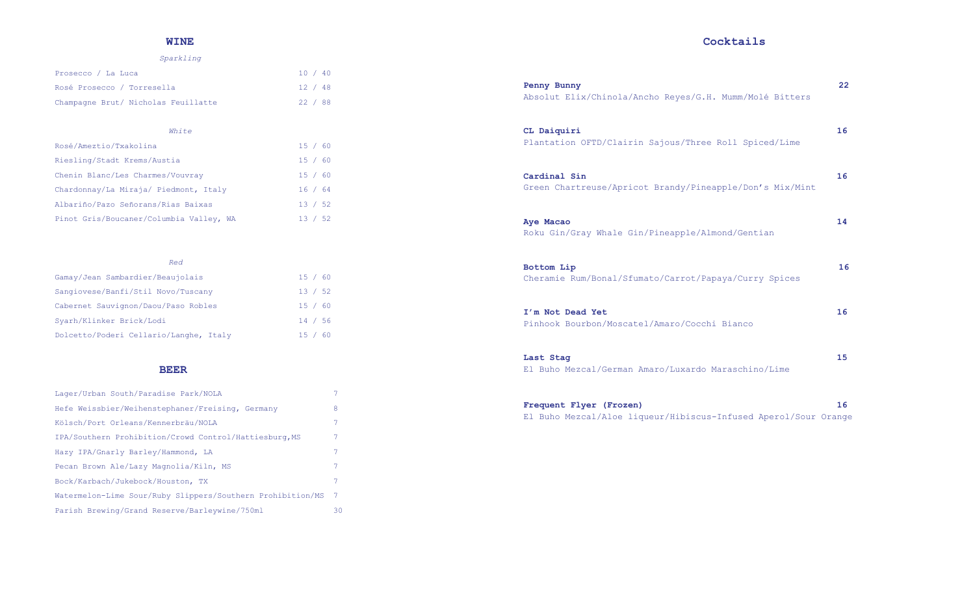## **WINE**

#### *Sparkling*

| Prosecco / La Luca                  |  | 10 / 40 |  |
|-------------------------------------|--|---------|--|
| Rosé Prosecco / Torresella          |  | 12 / 48 |  |
| Champagne Brut/ Nicholas Feuillatte |  | 22 / 88 |  |

#### *White*

| Rosé/Ameztio/Txakolina                  | 15 / 60 |  |
|-----------------------------------------|---------|--|
| Riesling/Stadt Krems/Austia             | 15 / 60 |  |
| Chenin Blanc/Les Charmes/Vouvray        | 15 / 60 |  |
| Chardonnay/La Miraja/ Piedmont, Italy   | 16 / 64 |  |
| Albariño/Pazo Señorans/Rias Baixas      | 13 / 52 |  |
| Pinot Gris/Boucaner/Columbia Valley, WA | 13 / 52 |  |

| Red                                    |         |  |
|----------------------------------------|---------|--|
| Gamay/Jean Sambardier/Beaujolais       | 15 / 60 |  |
| Sangiovese/Banfi/Stil Novo/Tuscany     | 13 / 52 |  |
| Cabernet Sauvignon/Daou/Paso Robles    | 15 / 60 |  |
| Syarh/Klinker Brick/Lodi               | 14 / 56 |  |
| Dolcetto/Poderi Cellario/Langhe, Italy | 15 / 60 |  |

#### **BEER**

| Lager/Urban South/Paradise Park/NOLA                       | 7              |
|------------------------------------------------------------|----------------|
| Hefe Weissbier/Weihenstephaner/Freising, Germany           | 8              |
| Kölsch/Port Orleans/Kennerbräu/NOLA                        | 7              |
| IPA/Southern Prohibition/Crowd Control/Hattiesburg, MS     | 7              |
| Hazy IPA/Gnarly Barley/Hammond, LA                         | 7              |
| Pecan Brown Ale/Lazy Magnolia/Kiln, MS                     | 7              |
| Bock/Karbach/Jukebock/Houston, TX                          | 7              |
| Watermelon-Lime Sour/Ruby Slippers/Southern Prohibition/MS | $\overline{7}$ |
| Parish Brewing/Grand Reserve/Barleywine/750ml              | 30             |

## **Cocktails**

| Penny Bunny<br>Absolut Elix/Chinola/Ancho Reyes/G.H. Mumm/Molé Bitters     | $22^{\circ}$ |
|----------------------------------------------------------------------------|--------------|
| CL Daiquiri<br>Plantation OFTD/Clairin Sajous/Three Roll Spiced/Lime       | 16           |
| Cardinal Sin<br>Green Chartreuse/Apricot Brandy/Pineapple/Don's Mix/Mint   | 16           |
| Aye Macao<br>Roku Gin/Gray Whale Gin/Pineapple/Almond/Gentian              | 14           |
| <b>Bottom Lip</b><br>Cheramie Rum/Bonal/Sfumato/Carrot/Papaya/Curry Spices | 16           |
| I'm Not Dead Yet<br>Pinhook Bourbon/Moscatel/Amaro/Cocchi Bianco           | 16           |
| Last Stag<br>El Buho Mezcal/German Amaro/Luxardo Maraschino/Lime           | 15           |
| Frequent Flyer (Frozen)                                                    | 16           |

El Buho Mezcal/Aloe liqueur/Hibiscus-Infused Aperol/Sour Orange